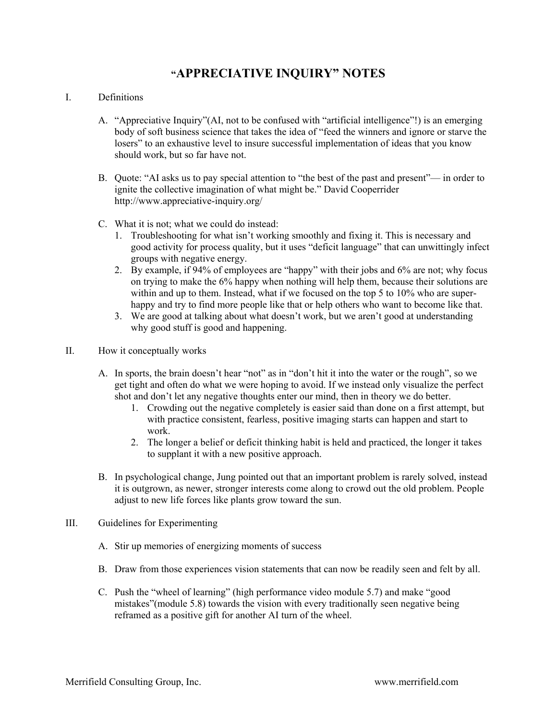## **"APPRECIATIVE INQUIRY" NOTES**

## I. Definitions

- A. "Appreciative Inquiry"(AI, not to be confused with "artificial intelligence"!) is an emerging body of soft business science that takes the idea of "feed the winners and ignore or starve the losers" to an exhaustive level to insure successful implementation of ideas that you know should work, but so far have not.
- B. Quote: "AI asks us to pay special attention to "the best of the past and present"— in order to ignite the collective imagination of what might be." David Cooperrider http://www.appreciative-inquiry.org/
- C. What it is not; what we could do instead:
	- 1. Troubleshooting for what isn't working smoothly and fixing it. This is necessary and good activity for process quality, but it uses "deficit language" that can unwittingly infect groups with negative energy.
	- 2. By example, if 94% of employees are "happy" with their jobs and 6% are not; why focus on trying to make the 6% happy when nothing will help them, because their solutions are within and up to them. Instead, what if we focused on the top 5 to 10% who are superhappy and try to find more people like that or help others who want to become like that.
	- 3. We are good at talking about what doesn't work, but we aren't good at understanding why good stuff is good and happening.
- II. How it conceptually works
	- A. In sports, the brain doesn't hear "not" as in "don't hit it into the water or the rough", so we get tight and often do what we were hoping to avoid. If we instead only visualize the perfect shot and don't let any negative thoughts enter our mind, then in theory we do better.
		- 1. Crowding out the negative completely is easier said than done on a first attempt, but with practice consistent, fearless, positive imaging starts can happen and start to work.
		- 2. The longer a belief or deficit thinking habit is held and practiced, the longer it takes to supplant it with a new positive approach.
	- B. In psychological change, Jung pointed out that an important problem is rarely solved, instead it is outgrown, as newer, stronger interests come along to crowd out the old problem. People adjust to new life forces like plants grow toward the sun.
- III. Guidelines for Experimenting
	- A. Stir up memories of energizing moments of success
	- B. Draw from those experiences vision statements that can now be readily seen and felt by all.
	- C. Push the "wheel of learning" (high performance video module 5.7) and make "good mistakes"(module 5.8) towards the vision with every traditionally seen negative being reframed as a positive gift for another AI turn of the wheel.